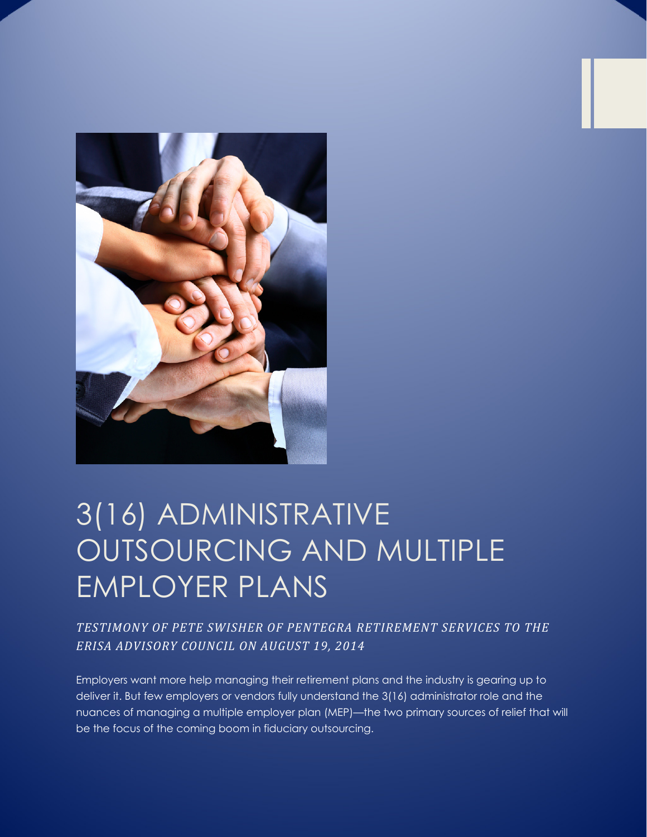

# 3(16) ADMINISTRATIVE OUTSOURCING AND MULTIPLE EMPLOYER PLANS

*TESTIMONY OF PETE SWISHER OF PENTEGRA RETIREMENT SERVICES TO THE ERISA ADVISORY COUNCIL ON AUGUST 19, 2014*

Employers want more help managing their retirement plans and the industry is gearing up to deliver it. But few employers or vendors fully understand the 3(16) administrator role and the nuances of managing a multiple employer plan (MEP)—the two primary sources of relief that will be the focus of the coming boom in fiduciary outsourcing.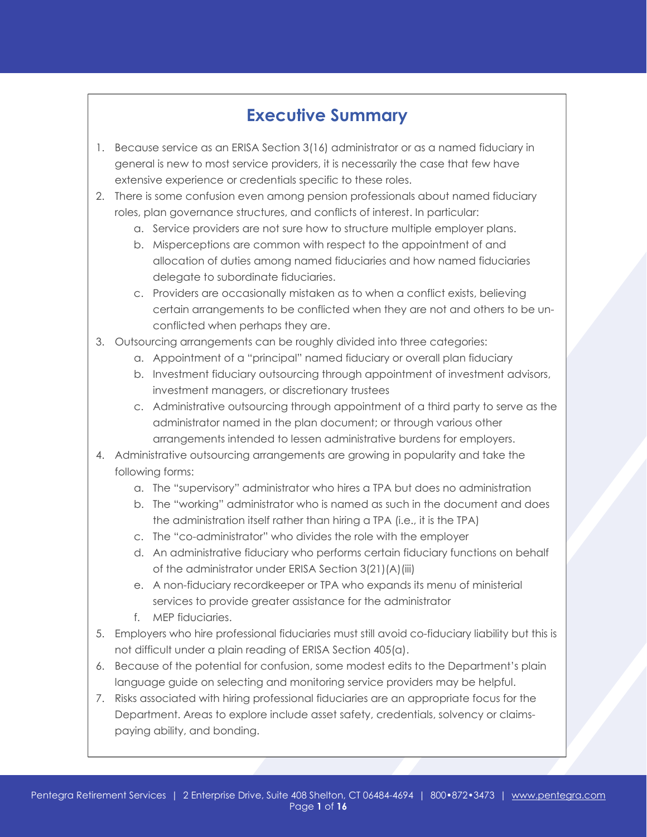# **Executive Summary**

- 1. Because service as an ERISA Section 3(16) administrator or as a named fiduciary in general is new to most service providers, it is necessarily the case that few have extensive experience or credentials specific to these roles.
- 2. There is some confusion even among pension professionals about named fiduciary roles, plan governance structures, and conflicts of interest. In particular:
	- a. Service providers are not sure how to structure multiple employer plans.
	- b. Misperceptions are common with respect to the appointment of and allocation of duties among named fiduciaries and how named fiduciaries delegate to subordinate fiduciaries.
	- c. Providers are occasionally mistaken as to when a conflict exists, believing certain arrangements to be conflicted when they are not and others to be unconflicted when perhaps they are.
- 3. Outsourcing arrangements can be roughly divided into three categories:
	- a. Appointment of a "principal" named fiduciary or overall plan fiduciary
	- b. Investment fiduciary outsourcing through appointment of investment advisors, investment managers, or discretionary trustees
	- c. Administrative outsourcing through appointment of a third party to serve as the administrator named in the plan document; or through various other arrangements intended to lessen administrative burdens for employers.
- 4. Administrative outsourcing arrangements are growing in popularity and take the following forms:
	- a. The "supervisory" administrator who hires a TPA but does no administration
	- b. The "working" administrator who is named as such in the document and does the administration itself rather than hiring a TPA (i.e., it is the TPA)
	- c. The "co-administrator" who divides the role with the employer
	- d. An administrative fiduciary who performs certain fiduciary functions on behalf of the administrator under ERISA Section 3(21)(A)(iii)
	- e. A non-fiduciary recordkeeper or TPA who expands its menu of ministerial services to provide greater assistance for the administrator
	- f. MEP fiduciaries.
- 5. Employers who hire professional fiduciaries must still avoid co-fiduciary liability but this is not difficult under a plain reading of ERISA Section 405(a).
- 6. Because of the potential for confusion, some modest edits to the Department's plain language guide on selecting and monitoring service providers may be helpful.
- 7. Risks associated with hiring professional fiduciaries are an appropriate focus for the Department. Areas to explore include asset safety, credentials, solvency or claimspaying ability, and bonding.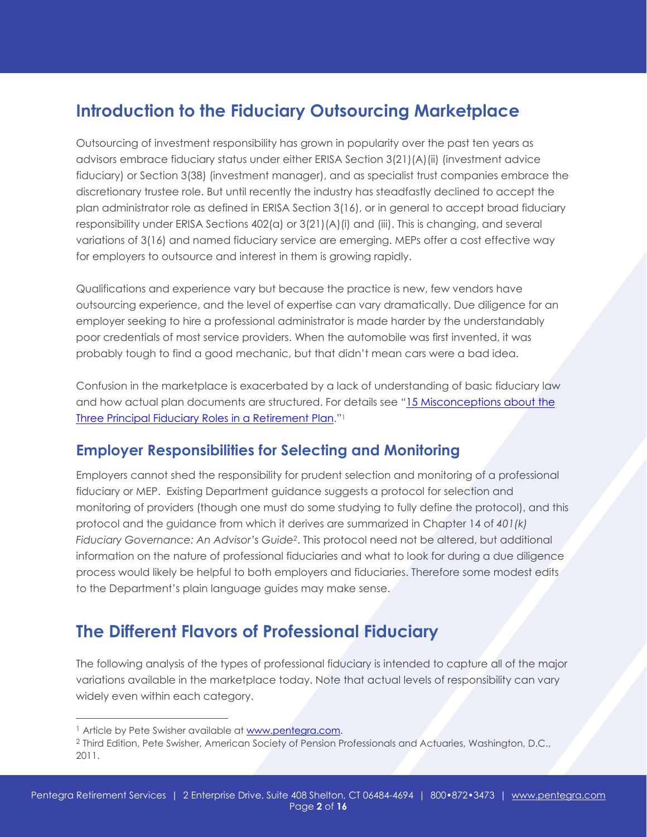# **Introduction to the Fiduciary Outsourcing Marketplace**

Outsourcing of investment responsibility has grown in popularity over the past ten years as advisors embrace fiduciary status under either ERISA Section 3(21)(A)(ii) (investment advice fiduciary) or Section 3(38) (investment manager), and as specialist trust companies embrace the discretionary trustee role. But until recently the industry has steadfastly declined to accept the plan administrator role as defined in ERISA Section 3(16), or in general to accept broad fiduciary responsibility under ERISA Sections 402(a) or 3(21)(A)(i) and (iii). This is changing, and several variations of 3(16) and named fiduciary service are emerging. MEPs offer a cost effective way for employers to outsource and interest in them is growing rapidly.

Qualifications and experience vary but because the practice is new, few vendors have outsourcing experience, and the level of expertise can vary dramatically. Due diligence for an employer seeking to hire a professional administrator is made harder by the understandably poor credentials of most service providers. When the automobile was first invented, it was probably tough to find a good mechanic, but that didn't mean cars were a bad idea.

Confusion in the marketplace is exacerbated by a lack of understanding of basic fiduciary law and how actual plan documents are structured. For details see "15 Misconceptions about the Three Principal Fiduciary Roles in a Retirement Plan."1

### **Employer Responsibilities for Selecting and Monitoring**

Employers cannot shed the responsibility for prudent selection and monitoring of a professional fiduciary or MEP. Existing Department guidance suggests a protocol for selection and monitoring of providers (though one must do some studying to fully define the protocol), and this protocol and the guidance from which it derives are summarized in Chapter 14 of *401(k) Fiduciary Governance: An Advisor's Guide2*. This protocol need not be altered, but additional information on the nature of professional fiduciaries and what to look for during a due diligence process would likely be helpful to both employers and fiduciaries. Therefore some modest edits to the Department's plain language guides may make sense.

# **The Different Flavors of Professional Fiduciary**

The following analysis of the types of professional fiduciary is intended to capture all of the major variations available in the marketplace today. Note that actual levels of responsibility can vary widely even within each category.

 $\overline{a}$ 

<sup>&</sup>lt;sup>1</sup> Article by Pete Swisher available at www.pentegra.com.

<sup>2</sup> Third Edition, Pete Swisher, American Society of Pension Professionals and Actuaries, Washington, D.C., 2011.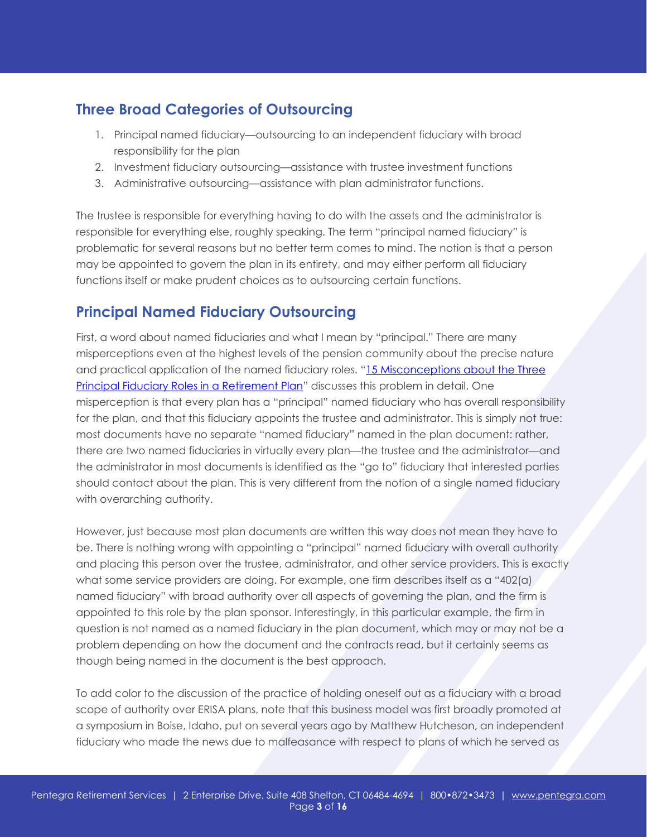### **Three Broad Categories of Outsourcing**

- 1. Principal named fiduciary—outsourcing to an independent fiduciary with broad responsibility for the plan
- 2. Investment fiduciary outsourcing—assistance with trustee investment functions
- 3. Administrative outsourcing—assistance with plan administrator functions.

The trustee is responsible for everything having to do with the assets and the administrator is responsible for everything else, roughly speaking. The term "principal named fiduciary" is problematic for several reasons but no better term comes to mind. The notion is that a person may be appointed to govern the plan in its entirety, and may either perform all fiduciary functions itself or make prudent choices as to outsourcing certain functions.

### **Principal Named Fiduciary Outsourcing**

First, a word about named fiduciaries and what I mean by "principal." There are many misperceptions even at the highest levels of the pension community about the precise nature and practical application of the named fiduciary roles. "15 Misconceptions about the Three Principal Fiduciary Roles in a Retirement Plan" discusses this problem in detail. One misperception is that every plan has a "principal" named fiduciary who has overall responsibility for the plan, and that this fiduciary appoints the trustee and administrator. This is simply not true: most documents have no separate "named fiduciary" named in the plan document: rather, there are two named fiduciaries in virtually every plan—the trustee and the administrator—and the administrator in most documents is identified as the "go to" fiduciary that interested parties should contact about the plan. This is very different from the notion of a single named fiduciary with overarching authority.

However, just because most plan documents are written this way does not mean they have to be. There is nothing wrong with appointing a "principal" named fiduciary with overall authority and placing this person over the trustee, administrator, and other service providers. This is exactly what some service providers are doing. For example, one firm describes itself as a "402(a) named fiduciary" with broad authority over all aspects of governing the plan, and the firm is appointed to this role by the plan sponsor. Interestingly, in this particular example, the firm in question is not named as a named fiduciary in the plan document, which may or may not be a problem depending on how the document and the contracts read, but it certainly seems as though being named in the document is the best approach.

To add color to the discussion of the practice of holding oneself out as a fiduciary with a broad scope of authority over ERISA plans, note that this business model was first broadly promoted at a symposium in Boise, Idaho, put on several years ago by Matthew Hutcheson, an independent fiduciary who made the news due to malfeasance with respect to plans of which he served as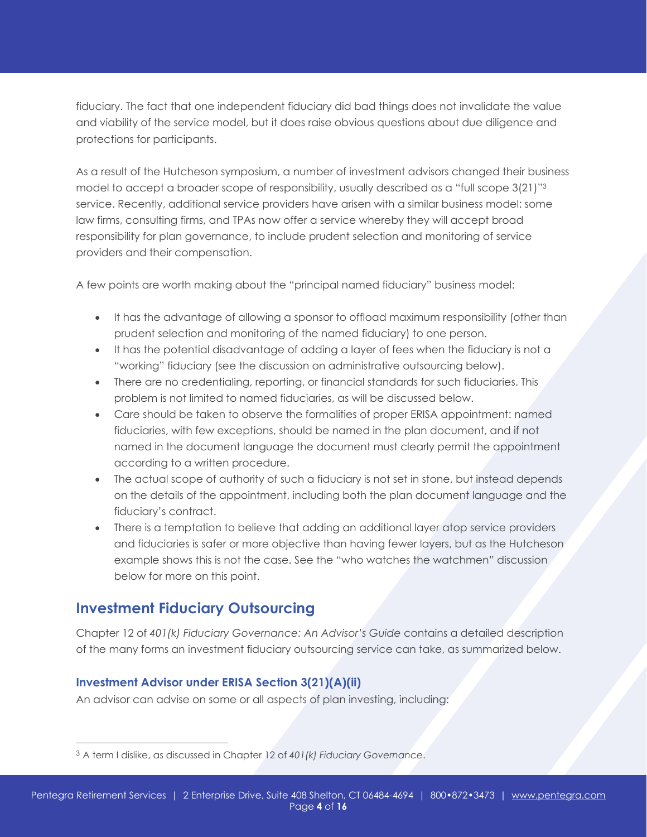fiduciary. The fact that one independent fiduciary did bad things does not invalidate the value and viability of the service model, but it does raise obvious questions about due diligence and protections for participants.

As a result of the Hutcheson symposium, a number of investment advisors changed their business model to accept a broader scope of responsibility, usually described as a "full scope 3(21)"3 service. Recently, additional service providers have arisen with a similar business model: some law firms, consulting firms, and TPAs now offer a service whereby they will accept broad responsibility for plan governance, to include prudent selection and monitoring of service providers and their compensation.

A few points are worth making about the "principal named fiduciary" business model:

- It has the advantage of allowing a sponsor to offload maximum responsibility (other than prudent selection and monitoring of the named fiduciary) to one person.
- It has the potential disadvantage of adding a layer of fees when the fiduciary is not a "working" fiduciary (see the discussion on administrative outsourcing below).
- There are no credentialing, reporting, or financial standards for such fiduciaries. This problem is not limited to named fiduciaries, as will be discussed below.
- Care should be taken to observe the formalities of proper ERISA appointment: named fiduciaries, with few exceptions, should be named in the plan document, and if not named in the document language the document must clearly permit the appointment according to a written procedure.
- The actual scope of authority of such a fiduciary is not set in stone, but instead depends on the details of the appointment, including both the plan document language and the fiduciary's contract.
- There is a temptation to believe that adding an additional layer atop service providers and fiduciaries is safer or more objective than having fewer layers, but as the Hutcheson example shows this is not the case. See the "who watches the watchmen" discussion below for more on this point.

### **Investment Fiduciary Outsourcing**

 $\overline{a}$ 

Chapter 12 of *401(k) Fiduciary Governance: An Advisor's Guide* contains a detailed description of the many forms an investment fiduciary outsourcing service can take, as summarized below.

#### **Investment Advisor under ERISA Section 3(21)(A)(ii)**

An advisor can advise on some or all aspects of plan investing, including:

<sup>3</sup> A term I dislike, as discussed in Chapter 12 of *401(k) Fiduciary Governance*.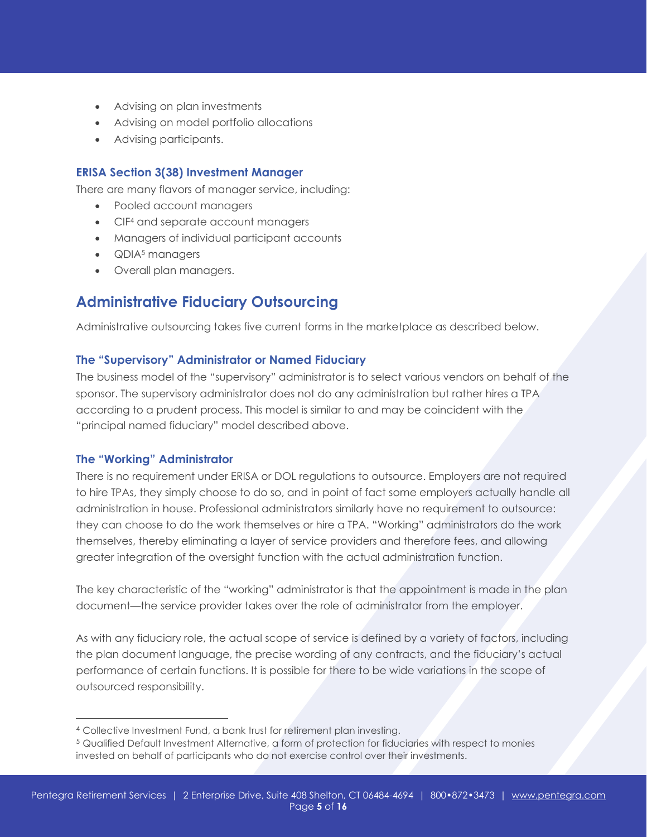- Advising on plan investments
- Advising on model portfolio allocations
- Advising participants.

#### **ERISA Section 3(38) Investment Manager**

There are many flavors of manager service, including:

- Pooled account managers
- CIF<sup>4</sup> and separate account managers
- Managers of individual participant accounts
- **QDIA<sup>5</sup>** managers
- Overall plan managers.

#### **Administrative Fiduciary Outsourcing**

Administrative outsourcing takes five current forms in the marketplace as described below.

#### **The "Supervisory" Administrator or Named Fiduciary**

The business model of the "supervisory" administrator is to select various vendors on behalf of the sponsor. The supervisory administrator does not do any administration but rather hires a TPA according to a prudent process. This model is similar to and may be coincident with the "principal named fiduciary" model described above.

#### **The "Working" Administrator**

 $\overline{a}$ 

There is no requirement under ERISA or DOL regulations to outsource. Employers are not required to hire TPAs, they simply choose to do so, and in point of fact some employers actually handle all administration in house. Professional administrators similarly have no requirement to outsource: they can choose to do the work themselves or hire a TPA. "Working" administrators do the work themselves, thereby eliminating a layer of service providers and therefore fees, and allowing greater integration of the oversight function with the actual administration function.

The key characteristic of the "working" administrator is that the appointment is made in the plan document—the service provider takes over the role of administrator from the employer.

As with any fiduciary role, the actual scope of service is defined by a variety of factors, including the plan document language, the precise wording of any contracts, and the fiduciary's actual performance of certain functions. It is possible for there to be wide variations in the scope of outsourced responsibility.

<sup>4</sup> Collective Investment Fund, a bank trust for retirement plan investing.

<sup>5</sup> Qualified Default Investment Alternative, a form of protection for fiduciaries with respect to monies invested on behalf of participants who do not exercise control over their investments.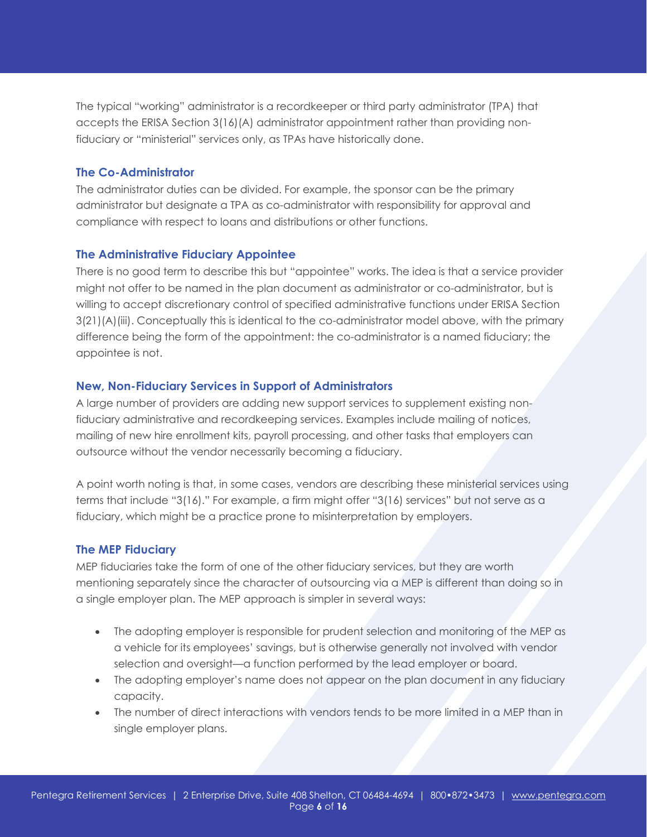The typical "working" administrator is a recordkeeper or third party administrator (TPA) that accepts the ERISA Section 3(16)(A) administrator appointment rather than providing nonfiduciary or "ministerial" services only, as TPAs have historically done.

#### **The Co-Administrator**

The administrator duties can be divided. For example, the sponsor can be the primary administrator but designate a TPA as co-administrator with responsibility for approval and compliance with respect to loans and distributions or other functions.

#### **The Administrative Fiduciary Appointee**

There is no good term to describe this but "appointee" works. The idea is that a service provider might not offer to be named in the plan document as administrator or co-administrator, but is willing to accept discretionary control of specified administrative functions under ERISA Section 3(21)(A)(iii). Conceptually this is identical to the co-administrator model above, with the primary difference being the form of the appointment: the co-administrator is a named fiduciary; the appointee is not.

#### **New, Non-Fiduciary Services in Support of Administrators**

A large number of providers are adding new support services to supplement existing nonfiduciary administrative and recordkeeping services. Examples include mailing of notices, mailing of new hire enrollment kits, payroll processing, and other tasks that employers can outsource without the vendor necessarily becoming a fiduciary.

A point worth noting is that, in some cases, vendors are describing these ministerial services using terms that include "3(16)." For example, a firm might offer "3(16) services" but not serve as a fiduciary, which might be a practice prone to misinterpretation by employers.

#### **The MEP Fiduciary**

MEP fiduciaries take the form of one of the other fiduciary services, but they are worth mentioning separately since the character of outsourcing via a MEP is different than doing so in a single employer plan. The MEP approach is simpler in several ways:

- The adopting employer is responsible for prudent selection and monitoring of the MEP as a vehicle for its employees' savings, but is otherwise generally not involved with vendor selection and oversight—a function performed by the lead employer or board.
- The adopting employer's name does not appear on the plan document in any fiduciary capacity.
- The number of direct interactions with vendors tends to be more limited in a MEP than in single employer plans.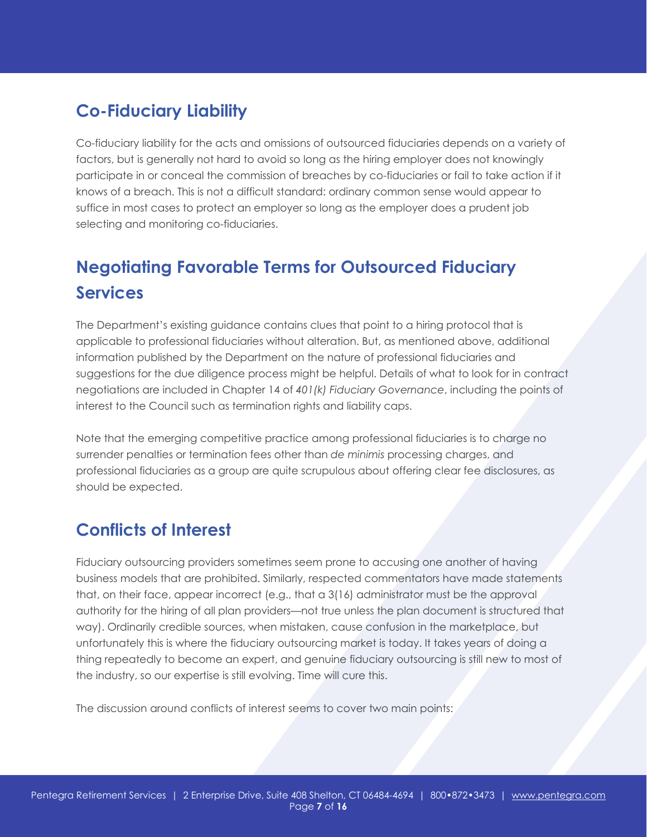# **Co-Fiduciary Liability**

Co-fiduciary liability for the acts and omissions of outsourced fiduciaries depends on a variety of factors, but is generally not hard to avoid so long as the hiring employer does not knowingly participate in or conceal the commission of breaches by co-fiduciaries or fail to take action if it knows of a breach. This is not a difficult standard: ordinary common sense would appear to suffice in most cases to protect an employer so long as the employer does a prudent job selecting and monitoring co-fiduciaries.

# **Negotiating Favorable Terms for Outsourced Fiduciary Services**

The Department's existing guidance contains clues that point to a hiring protocol that is applicable to professional fiduciaries without alteration. But, as mentioned above, additional information published by the Department on the nature of professional fiduciaries and suggestions for the due diligence process might be helpful. Details of what to look for in contract negotiations are included in Chapter 14 of *401(k) Fiduciary Governance*, including the points of interest to the Council such as termination rights and liability caps.

Note that the emerging competitive practice among professional fiduciaries is to charge no surrender penalties or termination fees other than *de minimis* processing charges, and professional fiduciaries as a group are quite scrupulous about offering clear fee disclosures, as should be expected.

# **Conflicts of Interest**

Fiduciary outsourcing providers sometimes seem prone to accusing one another of having business models that are prohibited. Similarly, respected commentators have made statements that, on their face, appear incorrect (e.g., that a 3(16) administrator must be the approval authority for the hiring of all plan providers—not true unless the plan document is structured that way). Ordinarily credible sources, when mistaken, cause confusion in the marketplace, but unfortunately this is where the fiduciary outsourcing market is today. It takes years of doing a thing repeatedly to become an expert, and genuine fiduciary outsourcing is still new to most of the industry, so our expertise is still evolving. Time will cure this.

The discussion around conflicts of interest seems to cover two main points: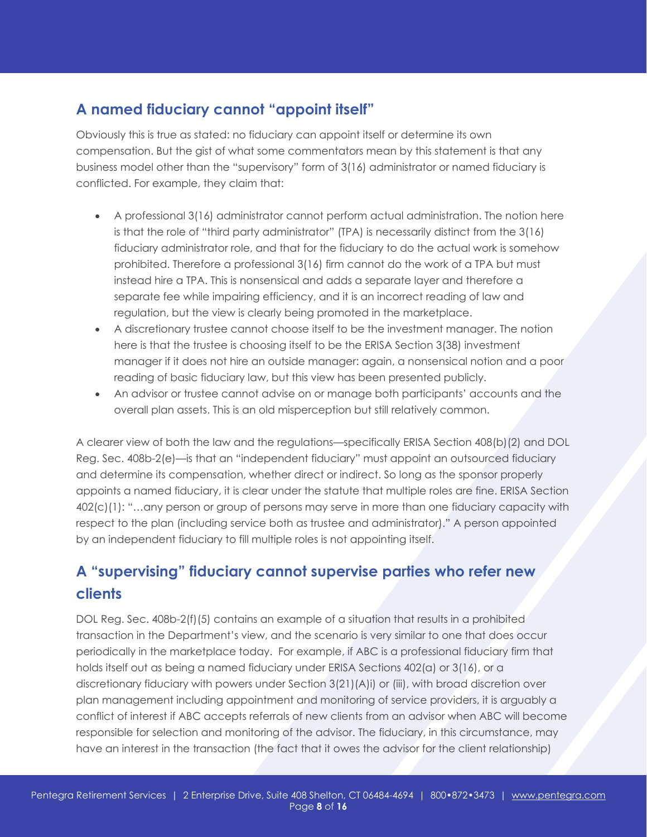### **A named fiduciary cannot "appoint itself"**

Obviously this is true as stated: no fiduciary can appoint itself or determine its own compensation. But the gist of what some commentators mean by this statement is that any business model other than the "supervisory" form of 3(16) administrator or named fiduciary is conflicted. For example, they claim that:

- A professional 3(16) administrator cannot perform actual administration. The notion here is that the role of "third party administrator" (TPA) is necessarily distinct from the 3(16) fiduciary administrator role, and that for the fiduciary to do the actual work is somehow prohibited. Therefore a professional 3(16) firm cannot do the work of a TPA but must instead hire a TPA. This is nonsensical and adds a separate layer and therefore a separate fee while impairing efficiency, and it is an incorrect reading of law and regulation, but the view is clearly being promoted in the marketplace.
- A discretionary trustee cannot choose itself to be the investment manager. The notion here is that the trustee is choosing itself to be the ERISA Section 3(38) investment manager if it does not hire an outside manager: again, a nonsensical notion and a poor reading of basic fiduciary law, but this view has been presented publicly.
- An advisor or trustee cannot advise on or manage both participants' accounts and the overall plan assets. This is an old misperception but still relatively common.

A clearer view of both the law and the regulations—specifically ERISA Section 408(b)(2) and DOL Reg. Sec. 408b-2(e)—is that an "independent fiduciary" must appoint an outsourced fiduciary and determine its compensation, whether direct or indirect. So long as the sponsor properly appoints a named fiduciary, it is clear under the statute that multiple roles are fine. ERISA Section 402(c)(1): "…any person or group of persons may serve in more than one fiduciary capacity with respect to the plan (including service both as trustee and administrator)." A person appointed by an independent fiduciary to fill multiple roles is not appointing itself.

# **A "supervising" fiduciary cannot supervise parties who refer new clients**

DOL Reg. Sec. 408b-2(f)(5) contains an example of a situation that results in a prohibited transaction in the Department's view, and the scenario is very similar to one that does occur periodically in the marketplace today. For example, if ABC is a professional fiduciary firm that holds itself out as being a named fiduciary under ERISA Sections 402(a) or 3(16), or a discretionary fiduciary with powers under Section 3(21)(A)i) or (iii), with broad discretion over plan management including appointment and monitoring of service providers, it is arguably a conflict of interest if ABC accepts referrals of new clients from an advisor when ABC will become responsible for selection and monitoring of the advisor. The fiduciary, in this circumstance, may have an interest in the transaction (the fact that it owes the advisor for the client relationship)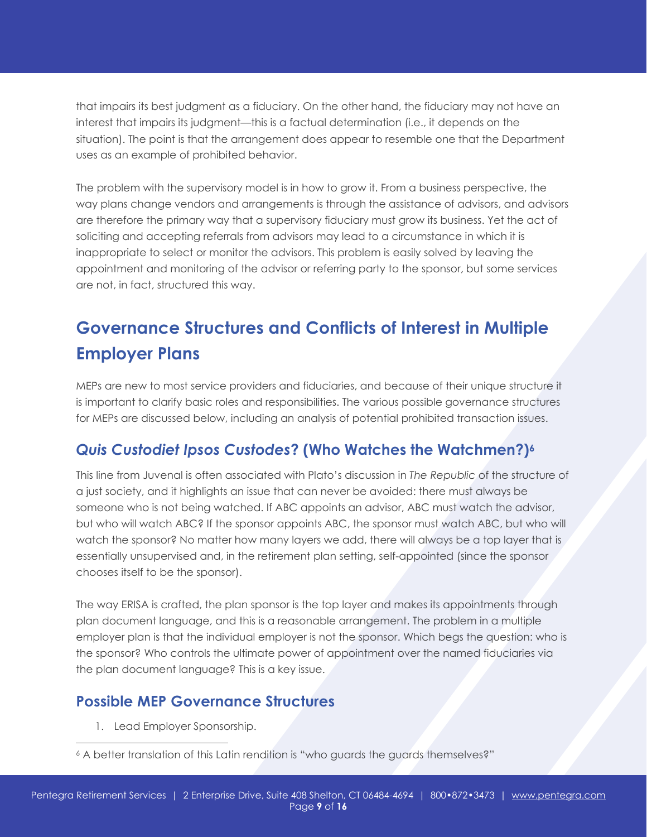that impairs its best judgment as a fiduciary. On the other hand, the fiduciary may not have an interest that impairs its judgment—this is a factual determination (i.e., it depends on the situation). The point is that the arrangement does appear to resemble one that the Department uses as an example of prohibited behavior.

The problem with the supervisory model is in how to grow it. From a business perspective, the way plans change vendors and arrangements is through the assistance of advisors, and advisors are therefore the primary way that a supervisory fiduciary must grow its business. Yet the act of soliciting and accepting referrals from advisors may lead to a circumstance in which it is inappropriate to select or monitor the advisors. This problem is easily solved by leaving the appointment and monitoring of the advisor or referring party to the sponsor, but some services are not, in fact, structured this way.

# **Governance Structures and Conflicts of Interest in Multiple Employer Plans**

MEPs are new to most service providers and fiduciaries, and because of their unique structure it is important to clarify basic roles and responsibilities. The various possible governance structures for MEPs are discussed below, including an analysis of potential prohibited transaction issues.

### *Quis Custodiet Ipsos Custodes***? (Who Watches the Watchmen?)6**

This line from Juvenal is often associated with Plato's discussion in *The Republic* of the structure of a just society, and it highlights an issue that can never be avoided: there must always be someone who is not being watched. If ABC appoints an advisor, ABC must watch the advisor, but who will watch ABC? If the sponsor appoints ABC, the sponsor must watch ABC, but who will watch the sponsor? No matter how many layers we add, there will always be a top layer that is essentially unsupervised and, in the retirement plan setting, self-appointed (since the sponsor chooses itself to be the sponsor).

The way ERISA is crafted, the plan sponsor is the top layer and makes its appointments through plan document language, and this is a reasonable arrangement. The problem in a multiple employer plan is that the individual employer is not the sponsor. Which begs the question: who is the sponsor? Who controls the ultimate power of appointment over the named fiduciaries via the plan document language? This is a key issue.

### **Possible MEP Governance Structures**

1. Lead Employer Sponsorship.

 $\overline{a}$ 

<sup>6</sup> A better translation of this Latin rendition is "who guards the guards themselves?"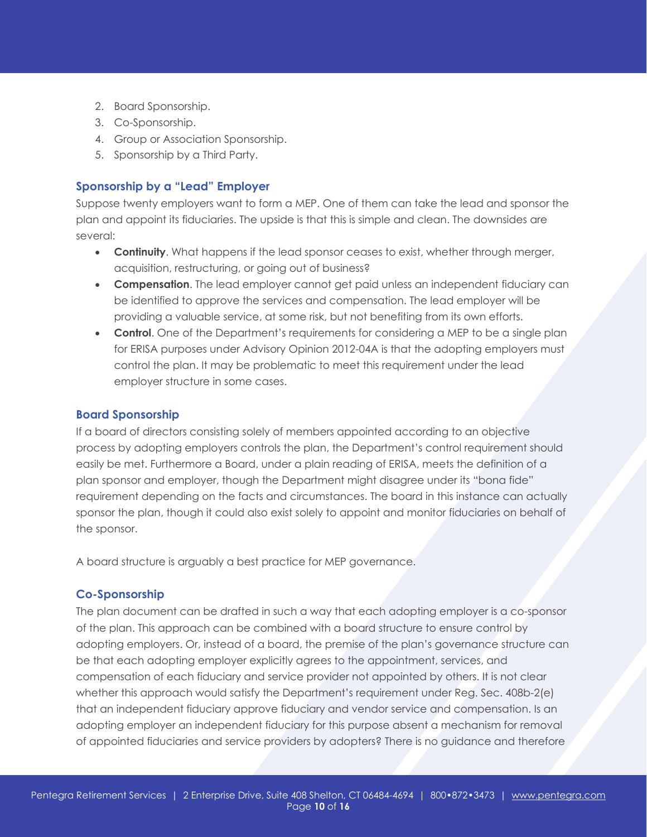- 2. Board Sponsorship.
- 3. Co-Sponsorship.
- 4. Group or Association Sponsorship.
- 5. Sponsorship by a Third Party.

#### **Sponsorship by a "Lead" Employer**

Suppose twenty employers want to form a MEP. One of them can take the lead and sponsor the plan and appoint its fiduciaries. The upside is that this is simple and clean. The downsides are several:

- **Continuity**. What happens if the lead sponsor ceases to exist, whether through merger, acquisition, restructuring, or going out of business?
- **Compensation**. The lead employer cannot get paid unless an independent fiduciary can be identified to approve the services and compensation. The lead employer will be providing a valuable service, at some risk, but not benefiting from its own efforts.
- **Control**. One of the Department's requirements for considering a MEP to be a single plan for ERISA purposes under Advisory Opinion 2012-04A is that the adopting employers must control the plan. It may be problematic to meet this requirement under the lead employer structure in some cases.

#### **Board Sponsorship**

If a board of directors consisting solely of members appointed according to an objective process by adopting employers controls the plan, the Department's control requirement should easily be met. Furthermore a Board, under a plain reading of ERISA, meets the definition of a plan sponsor and employer, though the Department might disagree under its "bona fide" requirement depending on the facts and circumstances. The board in this instance can actually sponsor the plan, though it could also exist solely to appoint and monitor fiduciaries on behalf of the sponsor.

A board structure is arguably a best practice for MEP governance.

#### **Co-Sponsorship**

The plan document can be drafted in such a way that each adopting employer is a co-sponsor of the plan. This approach can be combined with a board structure to ensure control by adopting employers. Or, instead of a board, the premise of the plan's governance structure can be that each adopting employer explicitly agrees to the appointment, services, and compensation of each fiduciary and service provider not appointed by others. It is not clear whether this approach would satisfy the Department's requirement under Reg. Sec. 408b-2(e) that an independent fiduciary approve fiduciary and vendor service and compensation. Is an adopting employer an independent fiduciary for this purpose absent a mechanism for removal of appointed fiduciaries and service providers by adopters? There is no guidance and therefore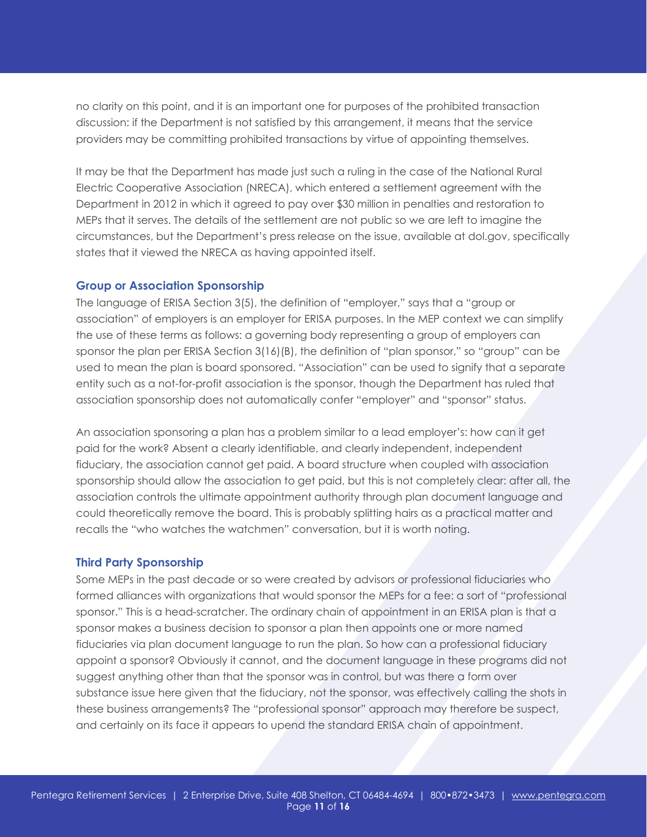no clarity on this point, and it is an important one for purposes of the prohibited transaction discussion: if the Department is not satisfied by this arrangement, it means that the service providers may be committing prohibited transactions by virtue of appointing themselves.

It may be that the Department has made just such a ruling in the case of the National Rural Electric Cooperative Association (NRECA), which entered a settlement agreement with the Department in 2012 in which it agreed to pay over \$30 million in penalties and restoration to MEPs that it serves. The details of the settlement are not public so we are left to imagine the circumstances, but the Department's press release on the issue, available at dol.gov, specifically states that it viewed the NRECA as having appointed itself.

#### **Group or Association Sponsorship**

The language of ERISA Section 3(5), the definition of "employer," says that a "group or association" of employers is an employer for ERISA purposes. In the MEP context we can simplify the use of these terms as follows: a governing body representing a group of employers can sponsor the plan per ERISA Section 3(16)(B), the definition of "plan sponsor," so "group" can be used to mean the plan is board sponsored. "Association" can be used to signify that a separate entity such as a not-for-profit association is the sponsor, though the Department has ruled that association sponsorship does not automatically confer "employer" and "sponsor" status.

An association sponsoring a plan has a problem similar to a lead employer's: how can it get paid for the work? Absent a clearly identifiable, and clearly independent, independent fiduciary, the association cannot get paid. A board structure when coupled with association sponsorship should allow the association to get paid, but this is not completely clear: after all, the association controls the ultimate appointment authority through plan document language and could theoretically remove the board. This is probably splitting hairs as a practical matter and recalls the "who watches the watchmen" conversation, but it is worth noting.

#### **Third Party Sponsorship**

Some MEPs in the past decade or so were created by advisors or professional fiduciaries who formed alliances with organizations that would sponsor the MEPs for a fee: a sort of "professional sponsor." This is a head-scratcher. The ordinary chain of appointment in an ERISA plan is that a sponsor makes a business decision to sponsor a plan then appoints one or more named fiduciaries via plan document language to run the plan. So how can a professional fiduciary appoint a sponsor? Obviously it cannot, and the document language in these programs did not suggest anything other than that the sponsor was in control, but was there a form over substance issue here given that the fiduciary, not the sponsor, was effectively calling the shots in these business arrangements? The "professional sponsor" approach may therefore be suspect, and certainly on its face it appears to upend the standard ERISA chain of appointment.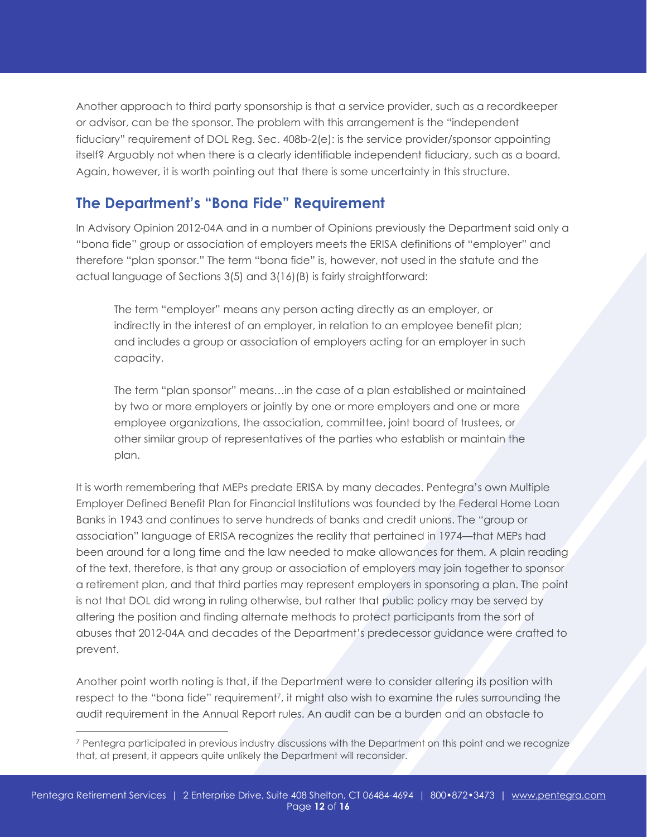Another approach to third party sponsorship is that a service provider, such as a recordkeeper or advisor, can be the sponsor. The problem with this arrangement is the "independent fiduciary" requirement of DOL Reg. Sec. 408b-2(e): is the service provider/sponsor appointing itself? Arguably not when there is a clearly identifiable independent fiduciary, such as a board. Again, however, it is worth pointing out that there is some uncertainty in this structure.

### **The Department's "Bona Fide" Requirement**

In Advisory Opinion 2012-04A and in a number of Opinions previously the Department said only a "bona fide" group or association of employers meets the ERISA definitions of "employer" and therefore "plan sponsor." The term "bona fide" is, however, not used in the statute and the actual language of Sections 3(5) and 3(16)(B) is fairly straightforward:

The term "employer" means any person acting directly as an employer, or indirectly in the interest of an employer, in relation to an employee benefit plan; and includes a group or association of employers acting for an employer in such capacity.

The term "plan sponsor" means…in the case of a plan established or maintained by two or more employers or jointly by one or more employers and one or more employee organizations, the association, committee, joint board of trustees, or other similar group of representatives of the parties who establish or maintain the plan.

It is worth remembering that MEPs predate ERISA by many decades. Pentegra's own Multiple Employer Defined Benefit Plan for Financial Institutions was founded by the Federal Home Loan Banks in 1943 and continues to serve hundreds of banks and credit unions. The "group or association" language of ERISA recognizes the reality that pertained in 1974—that MEPs had been around for a long time and the law needed to make allowances for them. A plain reading of the text, therefore, is that any group or association of employers may join together to sponsor a retirement plan, and that third parties may represent employers in sponsoring a plan. The point is not that DOL did wrong in ruling otherwise, but rather that public policy may be served by altering the position and finding alternate methods to protect participants from the sort of abuses that 2012-04A and decades of the Department's predecessor guidance were crafted to prevent.

Another point worth noting is that, if the Department were to consider altering its position with respect to the "bona fide" requirement<sup>7</sup>, it might also wish to examine the rules surrounding the audit requirement in the Annual Report rules. An audit can be a burden and an obstacle to

 $\overline{a}$ 

<sup>7</sup> Pentegra participated in previous industry discussions with the Department on this point and we recognize that, at present, it appears quite unlikely the Department will reconsider.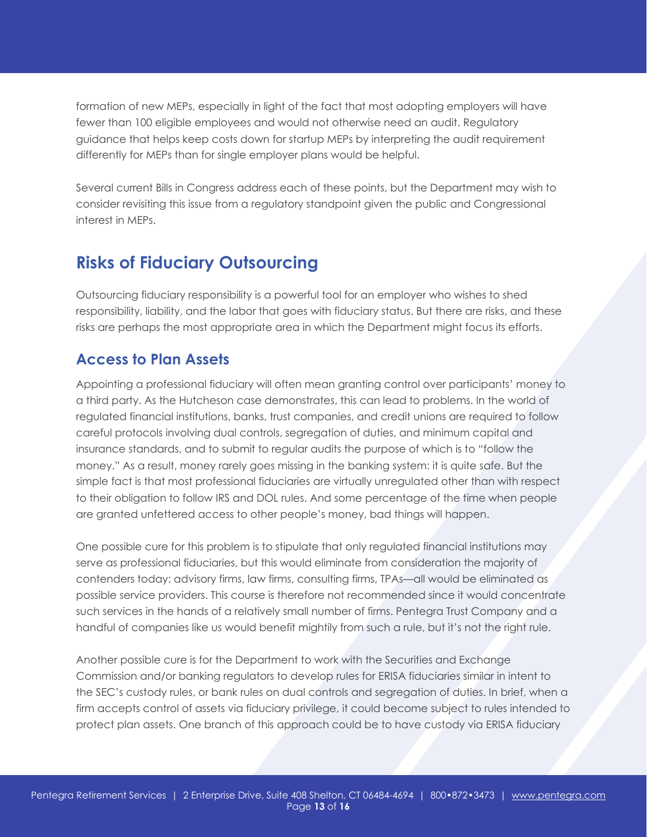formation of new MEPs, especially in light of the fact that most adopting employers will have fewer than 100 eligible employees and would not otherwise need an audit. Regulatory guidance that helps keep costs down for startup MEPs by interpreting the audit requirement differently for MEPs than for single employer plans would be helpful.

Several current Bills in Congress address each of these points, but the Department may wish to consider revisiting this issue from a regulatory standpoint given the public and Congressional interest in MEPs.

# **Risks of Fiduciary Outsourcing**

Outsourcing fiduciary responsibility is a powerful tool for an employer who wishes to shed responsibility, liability, and the labor that goes with fiduciary status. But there are risks, and these risks are perhaps the most appropriate area in which the Department might focus its efforts.

### **Access to Plan Assets**

Appointing a professional fiduciary will often mean granting control over participants' money to a third party. As the Hutcheson case demonstrates, this can lead to problems. In the world of regulated financial institutions, banks, trust companies, and credit unions are required to follow careful protocols involving dual controls, segregation of duties, and minimum capital and insurance standards, and to submit to regular audits the purpose of which is to "follow the money." As a result, money rarely goes missing in the banking system: it is quite safe. But the simple fact is that most professional fiduciaries are virtually unregulated other than with respect to their obligation to follow IRS and DOL rules. And some percentage of the time when people are granted unfettered access to other people's money, bad things will happen.

One possible cure for this problem is to stipulate that only regulated financial institutions may serve as professional fiduciaries, but this would eliminate from consideration the majority of contenders today: advisory firms, law firms, consulting firms, TPAs—all would be eliminated as possible service providers. This course is therefore not recommended since it would concentrate such services in the hands of a relatively small number of firms. Pentegra Trust Company and a handful of companies like us would benefit mightily from such a rule, but it's not the right rule.

Another possible cure is for the Department to work with the Securities and Exchange Commission and/or banking regulators to develop rules for ERISA fiduciaries similar in intent to the SEC's custody rules, or bank rules on dual controls and segregation of duties. In brief, when a firm accepts control of assets via fiduciary privilege, it could become subject to rules intended to protect plan assets. One branch of this approach could be to have custody via ERISA fiduciary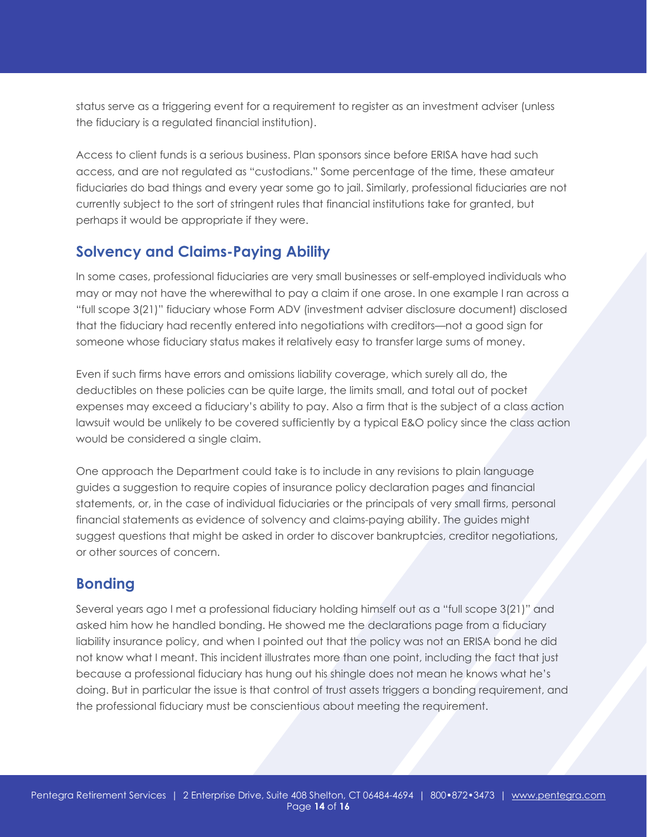status serve as a triggering event for a requirement to register as an investment adviser (unless the fiduciary is a regulated financial institution).

Access to client funds is a serious business. Plan sponsors since before ERISA have had such access, and are not regulated as "custodians." Some percentage of the time, these amateur fiduciaries do bad things and every year some go to jail. Similarly, professional fiduciaries are not currently subject to the sort of stringent rules that financial institutions take for granted, but perhaps it would be appropriate if they were.

### **Solvency and Claims-Paying Ability**

In some cases, professional fiduciaries are very small businesses or self-employed individuals who may or may not have the wherewithal to pay a claim if one arose. In one example I ran across a "full scope 3(21)" fiduciary whose Form ADV (investment adviser disclosure document) disclosed that the fiduciary had recently entered into negotiations with creditors—not a good sign for someone whose fiduciary status makes it relatively easy to transfer large sums of money.

Even if such firms have errors and omissions liability coverage, which surely all do, the deductibles on these policies can be quite large, the limits small, and total out of pocket expenses may exceed a fiduciary's ability to pay. Also a firm that is the subject of a class action lawsuit would be unlikely to be covered sufficiently by a typical E&O policy since the class action would be considered a single claim.

One approach the Department could take is to include in any revisions to plain language guides a suggestion to require copies of insurance policy declaration pages and financial statements, or, in the case of individual fiduciaries or the principals of very small firms, personal financial statements as evidence of solvency and claims-paying ability. The guides might suggest questions that might be asked in order to discover bankruptcies, creditor negotiations, or other sources of concern.

### **Bonding**

Several years ago I met a professional fiduciary holding himself out as a "full scope 3(21)" and asked him how he handled bonding. He showed me the declarations page from a fiduciary liability insurance policy, and when I pointed out that the policy was not an ERISA bond he did not know what I meant. This incident illustrates more than one point, including the fact that just because a professional fiduciary has hung out his shingle does not mean he knows what he's doing. But in particular the issue is that control of trust assets triggers a bonding requirement, and the professional fiduciary must be conscientious about meeting the requirement.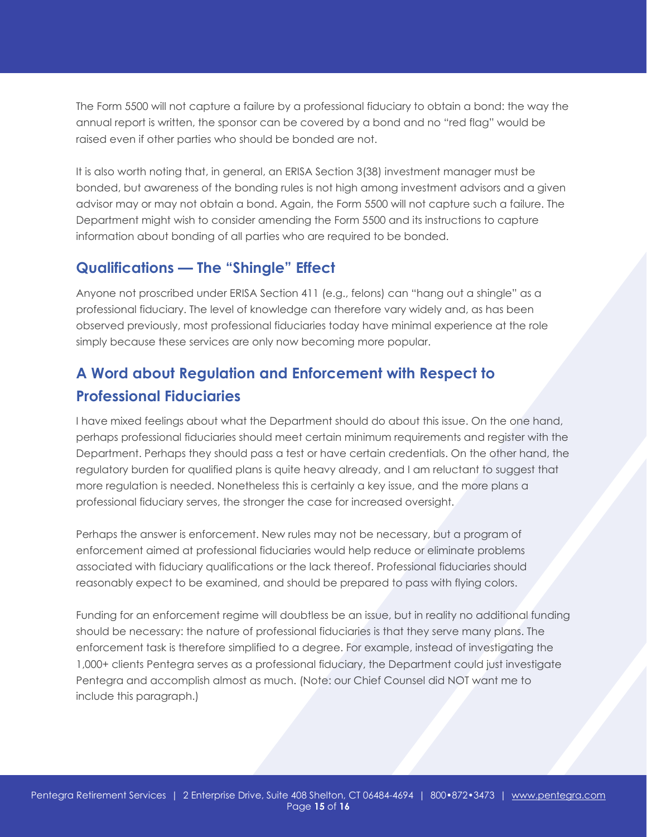The Form 5500 will not capture a failure by a professional fiduciary to obtain a bond: the way the annual report is written, the sponsor can be covered by a bond and no "red flag" would be raised even if other parties who should be bonded are not.

It is also worth noting that, in general, an ERISA Section 3(38) investment manager must be bonded, but awareness of the bonding rules is not high among investment advisors and a given advisor may or may not obtain a bond. Again, the Form 5500 will not capture such a failure. The Department might wish to consider amending the Form 5500 and its instructions to capture information about bonding of all parties who are required to be bonded.

### **Qualifications — The "Shingle" Effect**

Anyone not proscribed under ERISA Section 411 (e.g., felons) can "hang out a shingle" as a professional fiduciary. The level of knowledge can therefore vary widely and, as has been observed previously, most professional fiduciaries today have minimal experience at the role simply because these services are only now becoming more popular.

### **A Word about Regulation and Enforcement with Respect to Professional Fiduciaries**

I have mixed feelings about what the Department should do about this issue. On the one hand, perhaps professional fiduciaries should meet certain minimum requirements and register with the Department. Perhaps they should pass a test or have certain credentials. On the other hand, the regulatory burden for qualified plans is quite heavy already, and I am reluctant to suggest that more regulation is needed. Nonetheless this is certainly a key issue, and the more plans a professional fiduciary serves, the stronger the case for increased oversight.

Perhaps the answer is enforcement. New rules may not be necessary, but a program of enforcement aimed at professional fiduciaries would help reduce or eliminate problems associated with fiduciary qualifications or the lack thereof. Professional fiduciaries should reasonably expect to be examined, and should be prepared to pass with flying colors.

Funding for an enforcement regime will doubtless be an issue, but in reality no additional funding should be necessary: the nature of professional fiduciaries is that they serve many plans. The enforcement task is therefore simplified to a degree. For example, instead of investigating the 1,000+ clients Pentegra serves as a professional fiduciary, the Department could just investigate Pentegra and accomplish almost as much. (Note: our Chief Counsel did NOT want me to include this paragraph.)